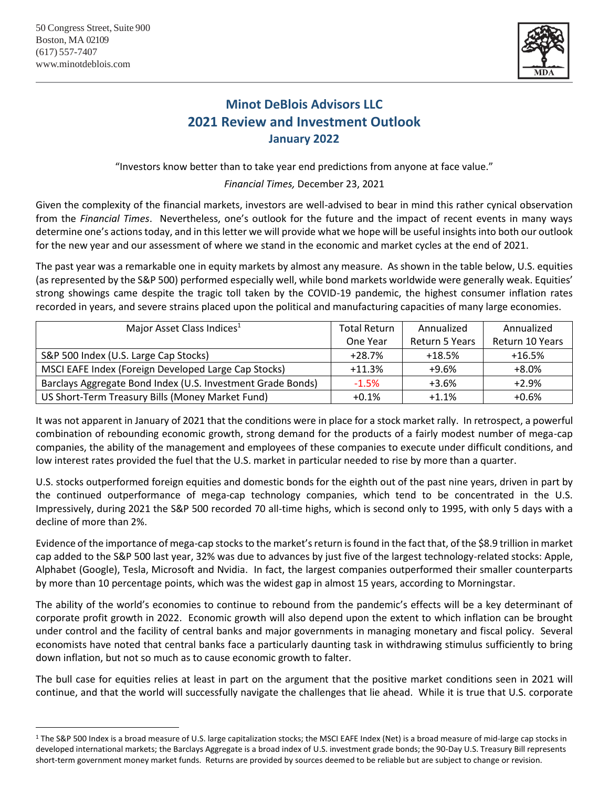

## **Minot DeBlois Advisors LLC 2021 Review and Investment Outlook January 2022**

"Investors know better than to take year end predictions from anyone at face value."

*Financial Times,* December 23, 2021

Given the complexity of the financial markets, investors are well-advised to bear in mind this rather cynical observation from the *Financial Times*. Nevertheless, one's outlook for the future and the impact of recent events in many ways determine one's actions today, and in this letter we will provide what we hope will be useful insights into both our outlook for the new year and our assessment of where we stand in the economic and market cycles at the end of 2021.

The past year was a remarkable one in equity markets by almost any measure. As shown in the table below, U.S. equities (as represented by the S&P 500) performed especially well, while bond markets worldwide were generally weak. Equities' strong showings came despite the tragic toll taken by the COVID-19 pandemic, the highest consumer inflation rates recorded in years, and severe strains placed upon the political and manufacturing capacities of many large economies.

| Major Asset Class Indices <sup>1</sup>                      | <b>Total Return</b> | Annualized     | Annualized      |
|-------------------------------------------------------------|---------------------|----------------|-----------------|
|                                                             | One Year            | Return 5 Years | Return 10 Years |
| S&P 500 Index (U.S. Large Cap Stocks)                       | $+28.7%$            | $+18.5%$       | $+16.5%$        |
| MSCI EAFE Index (Foreign Developed Large Cap Stocks)        | $+11.3%$            | $+9.6%$        | $+8.0%$         |
| Barclays Aggregate Bond Index (U.S. Investment Grade Bonds) | $-1.5%$             | $+3.6%$        | $+2.9%$         |
| US Short-Term Treasury Bills (Money Market Fund)            | $+0.1%$             | $+1.1%$        | $+0.6%$         |

It was not apparent in January of 2021 that the conditions were in place for a stock market rally. In retrospect, a powerful combination of rebounding economic growth, strong demand for the products of a fairly modest number of mega-cap companies, the ability of the management and employees of these companies to execute under difficult conditions, and low interest rates provided the fuel that the U.S. market in particular needed to rise by more than a quarter.

U.S. stocks outperformed foreign equities and domestic bonds for the eighth out of the past nine years, driven in part by the continued outperformance of mega-cap technology companies, which tend to be concentrated in the U.S. Impressively, during 2021 the S&P 500 recorded 70 all-time highs, which is second only to 1995, with only 5 days with a decline of more than 2%.

Evidence of the importance of mega-cap stocks to the market's return is found in the fact that, of the \$8.9 trillion in market cap added to the S&P 500 last year, 32% was due to advances by just five of the largest technology-related stocks: Apple, Alphabet (Google), Tesla, Microsoft and Nvidia. In fact, the largest companies outperformed their smaller counterparts by more than 10 percentage points, which was the widest gap in almost 15 years, according to Morningstar.

The ability of the world's economies to continue to rebound from the pandemic's effects will be a key determinant of corporate profit growth in 2022. Economic growth will also depend upon the extent to which inflation can be brought under control and the facility of central banks and major governments in managing monetary and fiscal policy. Several economists have noted that central banks face a particularly daunting task in withdrawing stimulus sufficiently to bring down inflation, but not so much as to cause economic growth to falter.

The bull case for equities relies at least in part on the argument that the positive market conditions seen in 2021 will continue, and that the world will successfully navigate the challenges that lie ahead. While it is true that U.S. corporate

<sup>&</sup>lt;sup>1</sup> The S&P 500 Index is a broad measure of U.S. large capitalization stocks; the MSCI EAFE Index (Net) is a broad measure of mid-large cap stocks in developed international markets; the Barclays Aggregate is a broad index of U.S. investment grade bonds; the 90-Day U.S. Treasury Bill represents short-term government money market funds. Returns are provided by sources deemed to be reliable but are subject to change or revision.